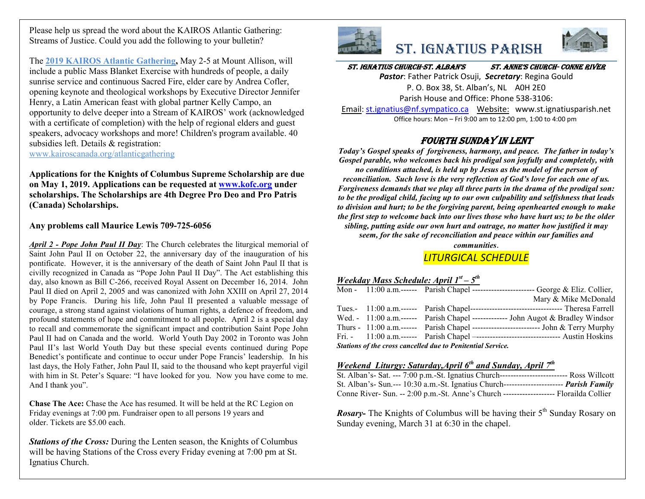Please help us spread the word about the KAIROS Atlantic Gathering: Streams of Justice. Could you add the following to your bulletin?

The **2019 KAIROS Atlantic Gathering,** May 2-5 at Mount Allison, will include a public Mass Blanket Exercise with hundreds of people, a daily sunrise service and continuous Sacred Fire, elder care by Andrea Cofler, opening keynote and theological workshops by Executive Director Jennifer Henry, a Latin American feast with global partner Kelly Campo, an opportunity to delve deeper into a Stream of KAIROS' work (acknowledged with a certificate of completion) with the help of regional elders and guest speakers, advocacy workshops and more! Children's program available. 40 subsidies left. Details & registration: www.kairoscanada.org/atlanticgathering

**Applications for the Knights of Columbus Supreme Scholarship are due on May 1, 2019. Applications can be requested at www.kofc.org under scholarships. The Scholarships are 4th Degree Pro Deo and Pro Patris (Canada) Scholarships.**

**Any problems call Maurice Lewis 709-725-6056**

*April 2 - Pope John Paul II Day*: The Church celebrates the liturgical memorial of Saint John Paul II on October 22, the anniversary day of the inauguration of his pontificate. However, it is the anniversary of the death of Saint John Paul II that is civilly recognized in Canada as "Pope John Paul II Day". The Act establishing this day, also known as Bill C-266, received Royal Assent on December 16, 2014. John Paul II died on April 2, 2005 and was canonized with John XXIII on April 27, 2014 by Pope Francis. During his life, John Paul II presented a valuable message of courage, a strong stand against violations of human rights, a defence of freedom, and profound statements of hope and commitment to all people. April 2 is a special day to recall and commemorate the significant impact and contribution Saint Pope John Paul II had on Canada and the world. World Youth Day 2002 in Toronto was John Paul II's last World Youth Day but these special events continued during Pope Benedict's pontificate and continue to occur under Pope Francis' leadership. In his last days, the Holy Father, John Paul II, said to the thousand who kept prayerful vigil with him in St. Peter's Square: "I have looked for you. Now you have come to me. And I thank you".

**Chase The Ace:** Chase the Ace has resumed. It will be held at the RC Legion on Friday evenings at 7:00 pm. Fundraiser open to all persons 19 years and older. Tickets are \$5.00 each.

*Stations of the Cross:* During the Lenten season, the Knights of Columbus will be having Stations of the Cross every Friday evening at 7:00 pm at St. Ignatius Church.



# St. IgnatIuS ParISh



St. IgnatIuS ChurCh-St. alban'S St. anne'S ChurCh- Conne rIver

*Pastor*: Father Patrick Osuji, *Secretary*: Regina Gould P. O. Box 38, St. Alban's, NL A0H 2E0 Parish House and Office: Phone 538-3106:

Email: st.ignatius@nf.sympatico.ca Website: www.st.ignatiusparish.net Office hours: Mon – Fri 9:00 am to 12:00 pm, 1:00 to 4:00 pm

### Fourth Sunday In lent

*Today's Gospel speaks of forgiveness, harmony, and peace. The father in today's Gospel parable, who welcomes back his prodigal son joyfully and completely, with no conditions attached, is held up by Jesus as the model of the person of reconciliation. Such love is the very reflection of God's love for each one of us. Forgiveness demands that we play all three parts in the drama of the prodigal son: to be the prodigal child, facing up to our own culpability and selfishness that leads to division and hurt; to be the forgiving parent, being openhearted enough to make the first step to welcome back into our lives those who have hurt us; to be the older sibling, putting aside our own hurt and outrage, no matter how justified it may seem, for the sake of reconciliation and peace within our families and* 

*communities*.

### *LITURGICAL SCHEDULE*

### *Weekday Mass Schedule: April 1st – 5th*

|                                                             |  |  | Mon - 11:00 a.m. ------ Parish Chapel --------------------------- George & Eliz. Collier, |  |  |  |
|-------------------------------------------------------------|--|--|-------------------------------------------------------------------------------------------|--|--|--|
|                                                             |  |  | Mary & Mike McDonald                                                                      |  |  |  |
|                                                             |  |  |                                                                                           |  |  |  |
|                                                             |  |  | Wed. - 11:00 a.m.------ Parish Chapel ------------- John Augot & Bradley Windsor          |  |  |  |
|                                                             |  |  | Thurs - $11:00$ a.m.------ Parish Chapel ------------------------- John & Terry Murphy    |  |  |  |
|                                                             |  |  | Fri. - 11:00 a.m. ------ Parish Chapel ----------------------------------- Austin Hoskins |  |  |  |
| Stations of the cross cancelled due to Penitential Service. |  |  |                                                                                           |  |  |  |

### *Weekend Liturgy: Saturday,April 6th and Sunday, April 7th*

| St. Alban's- Sat. --- 7:00 p.m.-St. Ignatius Church----------------------------- Ross Willcott   |  |  |
|--------------------------------------------------------------------------------------------------|--|--|
|                                                                                                  |  |  |
| St. Alban's- Sun.--- 10:30 a.m.-St. Ignatius Church------------------------ <i>Parish Family</i> |  |  |
|                                                                                                  |  |  |
|                                                                                                  |  |  |

*Rosary*- The Knights of Columbus will be having their 5<sup>th</sup> Sunday Rosary on Sunday evening, March 31 at 6:30 in the chapel.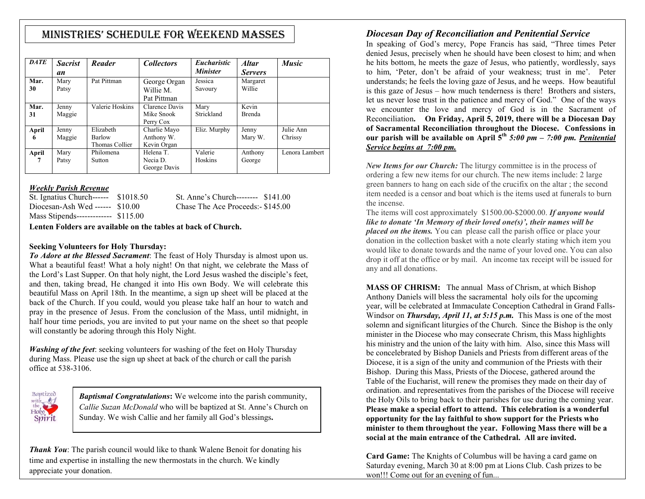# MInIStrIeS' Schedule for Weekend MaSSeS

| <b>DATE</b> | <b>Sacrist</b><br>an | Reader                                | <i>Collectors</i>                         | <i>Eucharistic</i><br><b>Minister</b> | <b>Altar</b><br><b>Servers</b> | <b>Music</b>         |
|-------------|----------------------|---------------------------------------|-------------------------------------------|---------------------------------------|--------------------------------|----------------------|
| Mar.<br>30  | Mary<br>Patsy        | Pat Pittman                           | George Organ<br>Willie M.<br>Pat Pittman  | Jessica<br>Savoury                    | Margaret<br>Willie             |                      |
| Mar.<br>31  | Jenny<br>Maggie      | Valerie Hoskins                       | Clarence Davis<br>Mike Snook<br>Perry Cox | Mary<br>Strickland                    | Kevin<br><b>Brenda</b>         |                      |
| April<br>6  | Jenny<br>Maggie      | Elizabeth<br>Barlow<br>Thomas Collier | Charlie Mayo<br>Anthony W.<br>Kevin Organ | Eliz. Murphy                          | Jenny<br>Mary W.               | Julie Ann<br>Chrissy |
| April<br>7  | Mary<br>Patsy        | Philomena<br>Sutton                   | Helena T.<br>Necia D.<br>George Davis     | Valerie<br>Hoskins                    | Anthony<br>George              | Lenora Lambert       |

#### *Weekly Parish Revenue*

| St. Ignatius Church------ \$1018.50 | St. Anne's Church-------- \$141.00 |  |
|-------------------------------------|------------------------------------|--|
| Diocesan-Ash Wed ------ $$10.00$    | Chase The Ace Proceeds: \$145.00   |  |
| Mass Stipends------------- \$115.00 |                                    |  |

**Lenten Folders are available on the tables at back of Church.**

#### **Seeking Volunteers for Holy Thursday:**

*To Adore at the Blessed Sacrament*: The feast of Holy Thursday is almost upon us. What a beautiful feast! What a holy night! On that night, we celebrate the Mass of the Lord's Last Supper. On that holy night, the Lord Jesus washed the disciple's feet, and then, taking bread, He changed it into His own Body. We will celebrate this beautiful Mass on April 18th. In the meantime, a sign up sheet will be placed at the back of the Church. If you could, would you please take half an hour to watch and pray in the presence of Jesus. From the conclusion of the Mass, until midnight, in half hour time periods, you are invited to put your name on the sheet so that people will constantly be adoring through this Holy Night.

*Washing of the feet*: seeking volunteers for washing of the feet on Holy Thursday during Mass. Please use the sign up sheet at back of the church or call the parish office at 538-3106.



*Baptismal Congratulations***:** We welcome into the parish community, *Callie Suzan McDonald* who will be baptized at St. Anne's Church on Sunday. We wish Callie and her family all God's blessings**.**

*Thank You*: The parish council would like to thank Walene Benoit for donating his time and expertise in installing the new thermostats in the church. We kindly appreciate your donation.

# *Diocesan Day of Reconciliation and Penitential Service*

In speaking of God's mercy, Pope Francis has said, "Three times Peter denied Jesus, precisely when he should have been closest to him; and when he hits bottom, he meets the gaze of Jesus, who patiently, wordlessly, says to him, 'Peter, don't be afraid of your weakness; trust in me'. Peter understands; he feels the loving gaze of Jesus, and he weeps. How beautiful is this gaze of Jesus – how much tenderness is there! Brothers and sisters, let us never lose trust in the patience and mercy of God." One of the ways we encounter the love and mercy of God is in the Sacrament of Reconciliation**. On Friday, April 5, 2019, there will be a Diocesan Day of Sacramental Reconciliation throughout the Diocese. Confessions in our parish will be available on April 5th** *5:00 pm – 7:00 pm. Penitential Service begins at 7:00 pm.*

*New Items for our Church:* The liturgy committee is in the process of ordering a few new items for our church. The new items include: 2 large green banners to hang on each side of the crucifix on the altar ; the second item needed is a censor and boat which is the items used at funerals to burn the incense.

The items will cost approximately \$1500.00-\$2000.00. *If anyone would like to donate 'In Memory of their loved one(s)', their names will be placed on the items.* You can please call the parish office or place your donation in the collection basket with a note clearly stating which item you would like to donate towards and the name of your loved one. You can also drop it off at the office or by mail. An income tax receipt will be issued for any and all donations.

**MASS OF CHRISM:** The annual Mass of Chrism, at which Bishop Anthony Daniels will bless the sacramental holy oils for the upcoming year, will be celebrated at Immaculate Conception Cathedral in Grand Falls-Windsor on *Thursday, April 11, at 5:15 p.m.* This Mass is one of the most solemn and significant liturgies of the Church. Since the Bishop is the only minister in the Diocese who may consecrate Chrism, this Mass highlights his ministry and the union of the laity with him. Also, since this Mass will be concelebrated by Bishop Daniels and Priests from different areas of the Diocese, it is a sign of the unity and communion of the Priests with their Bishop. During this Mass, Priests of the Diocese, gathered around the Table of the Eucharist, will renew the promises they made on their day of ordination. and representatives from the parishes of the Diocese will receive the Holy Oils to bring back to their parishes for use during the coming year. **Please make a special effort to attend. This celebration is a wonderful opportunity for the lay faithful to show support for the Priests who minister to them throughout the year. Following Mass there will be a social at the main entrance of the Cathedral. All are invited.**

**Card Game:** The Knights of Columbus will be having a card game on Saturday evening, March 30 at 8:00 pm at Lions Club. Cash prizes to be won!!! Come out for an evening of fun...